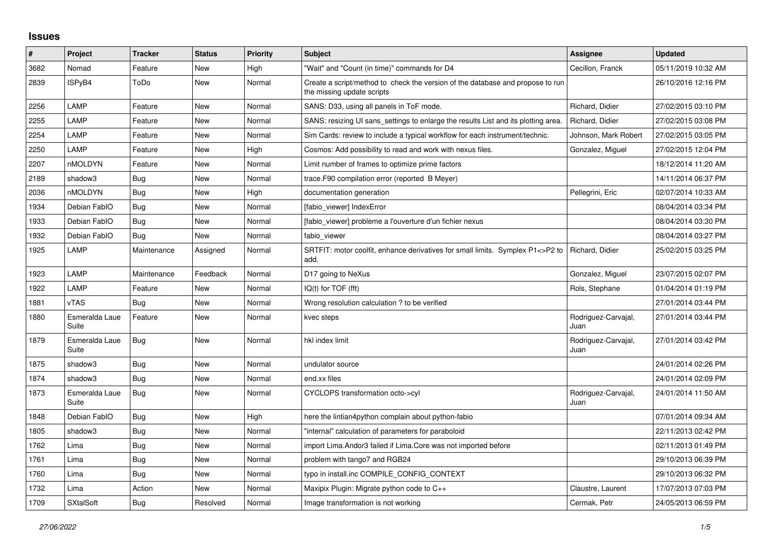## **Issues**

| #    | Project                 | <b>Tracker</b> | <b>Status</b> | <b>Priority</b> | <b>Subject</b>                                                                                               | <b>Assignee</b>             | <b>Updated</b>      |
|------|-------------------------|----------------|---------------|-----------------|--------------------------------------------------------------------------------------------------------------|-----------------------------|---------------------|
| 3682 | Nomad                   | Feature        | New           | High            | 'Wait" and "Count (in time)" commands for D4                                                                 | Cecillon, Franck            | 05/11/2019 10:32 AM |
| 2839 | ISPyB4                  | ToDo           | <b>New</b>    | Normal          | Create a script/method to check the version of the database and propose to run<br>the missing update scripts |                             | 26/10/2016 12:16 PM |
| 2256 | LAMP                    | Feature        | New           | Normal          | SANS: D33, using all panels in ToF mode.                                                                     | Richard, Didier             | 27/02/2015 03:10 PM |
| 2255 | LAMP                    | Feature        | <b>New</b>    | Normal          | SANS: resizing UI sans settings to enlarge the results List and its plotting area.                           | Richard, Didier             | 27/02/2015 03:08 PM |
| 2254 | LAMP                    | Feature        | New           | Normal          | Sim Cards: review to include a typical workflow for each instrument/technic.                                 | Johnson, Mark Robert        | 27/02/2015 03:05 PM |
| 2250 | LAMP                    | Feature        | New           | High            | Cosmos: Add possibility to read and work with nexus files.                                                   | Gonzalez, Miguel            | 27/02/2015 12:04 PM |
| 2207 | nMOLDYN                 | Feature        | New           | Normal          | Limit number of frames to optimize prime factors                                                             |                             | 18/12/2014 11:20 AM |
| 2189 | shadow3                 | <b>Bug</b>     | <b>New</b>    | Normal          | trace.F90 compilation error (reported B Meyer)                                                               |                             | 14/11/2014 06:37 PM |
| 2036 | <b>nMOLDYN</b>          | Bug            | New           | High            | documentation generation                                                                                     | Pellegrini, Eric            | 02/07/2014 10:33 AM |
| 1934 | Debian FablO            | Bug            | New           | Normal          | [fabio_viewer] IndexError                                                                                    |                             | 08/04/2014 03:34 PM |
| 1933 | Debian FablO            | Bug            | New           | Normal          | [fabio viewer] probleme a l'ouverture d'un fichier nexus                                                     |                             | 08/04/2014 03:30 PM |
| 1932 | Debian FablO            | Bug            | <b>New</b>    | Normal          | fabio viewer                                                                                                 |                             | 08/04/2014 03:27 PM |
| 1925 | LAMP                    | Maintenance    | Assigned      | Normal          | SRTFIT: motor coolfit, enhance derivatives for small limits. Symplex P1<>P2 to<br>add.                       | Richard, Didier             | 25/02/2015 03:25 PM |
| 1923 | LAMP                    | Maintenance    | Feedback      | Normal          | D17 going to NeXus                                                                                           | Gonzalez, Miguel            | 23/07/2015 02:07 PM |
| 1922 | LAMP                    | Feature        | <b>New</b>    | Normal          | $IQ(t)$ for $TOF$ (fft)                                                                                      | Rols, Stephane              | 01/04/2014 01:19 PM |
| 1881 | <b>vTAS</b>             | <b>Bug</b>     | <b>New</b>    | Normal          | Wrong resolution calculation ? to be verified                                                                |                             | 27/01/2014 03:44 PM |
| 1880 | Esmeralda Laue<br>Suite | Feature        | <b>New</b>    | Normal          | kvec steps                                                                                                   | Rodriguez-Carvajal,<br>Juan | 27/01/2014 03:44 PM |
| 1879 | Esmeralda Laue<br>Suite | Bug            | <b>New</b>    | Normal          | hkl index limit                                                                                              | Rodriguez-Carvajal,<br>Juan | 27/01/2014 03:42 PM |
| 1875 | shadow3                 | <b>Bug</b>     | New           | Normal          | undulator source                                                                                             |                             | 24/01/2014 02:26 PM |
| 1874 | shadow3                 | <b>Bug</b>     | <b>New</b>    | Normal          | end.xx files                                                                                                 |                             | 24/01/2014 02:09 PM |
| 1873 | Esmeralda Laue<br>Suite | Bug            | <b>New</b>    | Normal          | CYCLOPS transformation octo->cyl                                                                             | Rodriguez-Carvajal,<br>Juan | 24/01/2014 11:50 AM |
| 1848 | Debian FablO            | Bug            | <b>New</b>    | High            | here the lintian4python complain about python-fabio                                                          |                             | 07/01/2014 09:34 AM |
| 1805 | shadow3                 | <b>Bug</b>     | <b>New</b>    | Normal          | "internal" calculation of parameters for paraboloid                                                          |                             | 22/11/2013 02:42 PM |
| 1762 | Lima                    | Bug            | <b>New</b>    | Normal          | import Lima. Andor3 failed if Lima. Core was not imported before                                             |                             | 02/11/2013 01:49 PM |
| 1761 | Lima                    | Bug            | New           | Normal          | problem with tango7 and RGB24                                                                                |                             | 29/10/2013 06:39 PM |
| 1760 | Lima                    | Bug            | <b>New</b>    | Normal          | typo in install.inc COMPILE CONFIG CONTEXT                                                                   |                             | 29/10/2013 06:32 PM |
| 1732 | Lima                    | Action         | New           | Normal          | Maxipix Plugin: Migrate python code to C++                                                                   | Claustre, Laurent           | 17/07/2013 07:03 PM |
| 1709 | <b>SXtalSoft</b>        | <b>Bug</b>     | Resolved      | Normal          | Image transformation is not working                                                                          | Cermak, Petr                | 24/05/2013 06:59 PM |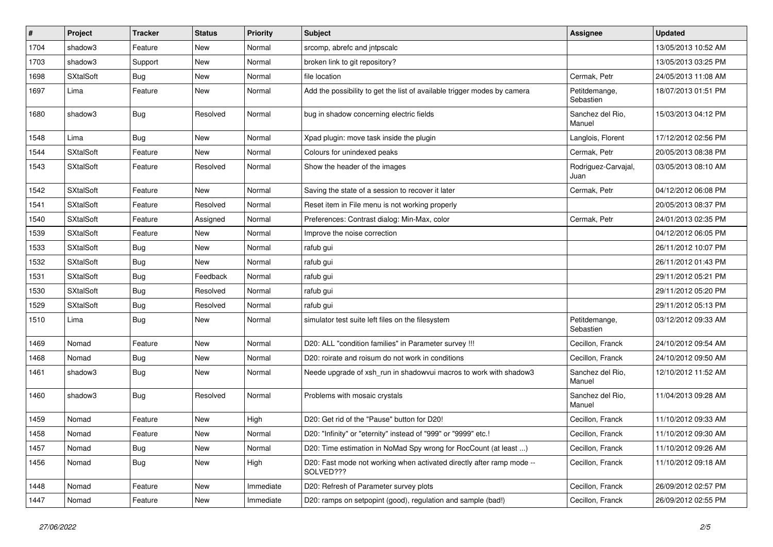| #    | Project          | <b>Tracker</b> | <b>Status</b> | <b>Priority</b> | <b>Subject</b>                                                                     | <b>Assignee</b>             | <b>Updated</b>      |
|------|------------------|----------------|---------------|-----------------|------------------------------------------------------------------------------------|-----------------------------|---------------------|
| 1704 | shadow3          | Feature        | New           | Normal          | srcomp, abrefc and jntpscalc                                                       |                             | 13/05/2013 10:52 AM |
| 1703 | shadow3          | Support        | New           | Normal          | broken link to git repository?                                                     |                             | 13/05/2013 03:25 PM |
| 1698 | SXtalSoft        | <b>Bug</b>     | New           | Normal          | file location                                                                      | Cermak, Petr                | 24/05/2013 11:08 AM |
| 1697 | Lima             | Feature        | New           | Normal          | Add the possibility to get the list of available trigger modes by camera           | Petitdemange,<br>Sebastien  | 18/07/2013 01:51 PM |
| 1680 | shadow3          | Bug            | Resolved      | Normal          | bug in shadow concerning electric fields                                           | Sanchez del Rio,<br>Manuel  | 15/03/2013 04:12 PM |
| 1548 | Lima             | Bug            | New           | Normal          | Xpad plugin: move task inside the plugin                                           | Langlois, Florent           | 17/12/2012 02:56 PM |
| 1544 | <b>SXtalSoft</b> | Feature        | New           | Normal          | Colours for unindexed peaks                                                        | Cermak, Petr                | 20/05/2013 08:38 PM |
| 1543 | <b>SXtalSoft</b> | Feature        | Resolved      | Normal          | Show the header of the images                                                      | Rodriguez-Carvajal,<br>Juan | 03/05/2013 08:10 AM |
| 1542 | <b>SXtalSoft</b> | Feature        | New           | Normal          | Saving the state of a session to recover it later                                  | Cermak, Petr                | 04/12/2012 06:08 PM |
| 1541 | <b>SXtalSoft</b> | Feature        | Resolved      | Normal          | Reset item in File menu is not working properly                                    |                             | 20/05/2013 08:37 PM |
| 1540 | <b>SXtalSoft</b> | Feature        | Assigned      | Normal          | Preferences: Contrast dialog: Min-Max, color                                       | Cermak, Petr                | 24/01/2013 02:35 PM |
| 1539 | <b>SXtalSoft</b> | Feature        | New           | Normal          | Improve the noise correction                                                       |                             | 04/12/2012 06:05 PM |
| 1533 | <b>SXtalSoft</b> | <b>Bug</b>     | New           | Normal          | rafub gui                                                                          |                             | 26/11/2012 10:07 PM |
| 1532 | <b>SXtalSoft</b> | <b>Bug</b>     | New           | Normal          | rafub gui                                                                          |                             | 26/11/2012 01:43 PM |
| 1531 | <b>SXtalSoft</b> | Bug            | Feedback      | Normal          | rafub gui                                                                          |                             | 29/11/2012 05:21 PM |
| 1530 | <b>SXtalSoft</b> | <b>Bug</b>     | Resolved      | Normal          | rafub gui                                                                          |                             | 29/11/2012 05:20 PM |
| 1529 | <b>SXtalSoft</b> | <b>Bug</b>     | Resolved      | Normal          | rafub gui                                                                          |                             | 29/11/2012 05:13 PM |
| 1510 | Lima             | <b>Bug</b>     | New           | Normal          | simulator test suite left files on the filesystem                                  | Petitdemange,<br>Sebastien  | 03/12/2012 09:33 AM |
| 1469 | Nomad            | Feature        | <b>New</b>    | Normal          | D20: ALL "condition families" in Parameter survey !!!                              | Cecillon, Franck            | 24/10/2012 09:54 AM |
| 1468 | Nomad            | <b>Bug</b>     | New           | Normal          | D20: roirate and roisum do not work in conditions                                  | Cecillon, Franck            | 24/10/2012 09:50 AM |
| 1461 | shadow3          | <b>Bug</b>     | New           | Normal          | Neede upgrade of xsh_run in shadowvui macros to work with shadow3                  | Sanchez del Rio,<br>Manuel  | 12/10/2012 11:52 AM |
| 1460 | shadow3          | <b>Bug</b>     | Resolved      | Normal          | Problems with mosaic crystals                                                      | Sanchez del Rio,<br>Manuel  | 11/04/2013 09:28 AM |
| 1459 | Nomad            | Feature        | New           | High            | D20: Get rid of the "Pause" button for D20!                                        | Cecillon, Franck            | 11/10/2012 09:33 AM |
| 1458 | Nomad            | Feature        | New           | Normal          | D20: "Infinity" or "eternity" instead of "999" or "9999" etc.!                     | Cecillon, Franck            | 11/10/2012 09:30 AM |
| 1457 | Nomad            | <b>Bug</b>     | <b>New</b>    | Normal          | D20: Time estimation in NoMad Spy wrong for RocCount (at least )                   | Cecillon, Franck            | 11/10/2012 09:26 AM |
| 1456 | Nomad            | <b>Bug</b>     | New           | High            | D20: Fast mode not working when activated directly after ramp mode --<br>SOLVED??? | Cecillon, Franck            | 11/10/2012 09:18 AM |
| 1448 | Nomad            | Feature        | New           | Immediate       | D20: Refresh of Parameter survey plots                                             | Cecillon, Franck            | 26/09/2012 02:57 PM |
| 1447 | Nomad            | Feature        | New           | Immediate       | D20: ramps on setpopint (good), regulation and sample (bad!)                       | Cecillon, Franck            | 26/09/2012 02:55 PM |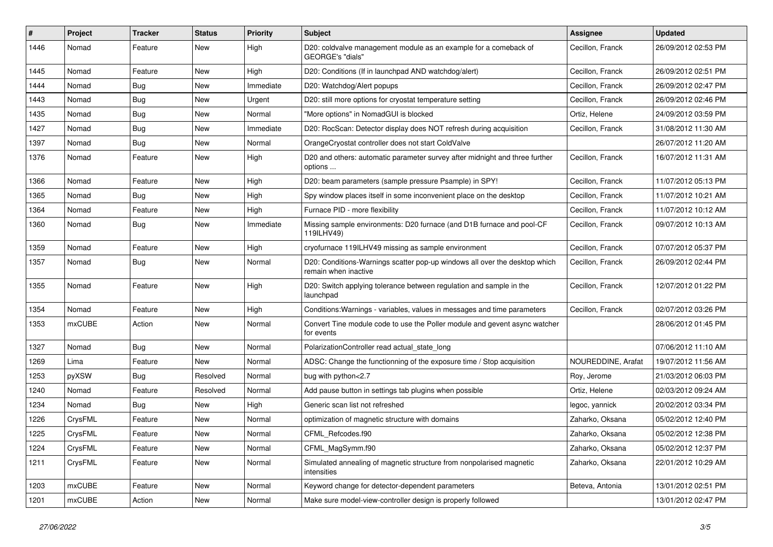| #    | Project | <b>Tracker</b> | <b>Status</b> | <b>Priority</b> | <b>Subject</b>                                                                                     | <b>Assignee</b>    | <b>Updated</b>      |
|------|---------|----------------|---------------|-----------------|----------------------------------------------------------------------------------------------------|--------------------|---------------------|
| 1446 | Nomad   | Feature        | New           | High            | D20: coldvalve management module as an example for a comeback of<br>GEORGE's "dials"               | Cecillon, Franck   | 26/09/2012 02:53 PM |
| 1445 | Nomad   | Feature        | New           | High            | D20: Conditions (If in launchpad AND watchdog/alert)                                               | Cecillon, Franck   | 26/09/2012 02:51 PM |
| 1444 | Nomad   | <b>Bug</b>     | New           | Immediate       | D20: Watchdog/Alert popups                                                                         | Cecillon, Franck   | 26/09/2012 02:47 PM |
| 1443 | Nomad   | Bug            | New           | Urgent          | D20: still more options for cryostat temperature setting                                           | Cecillon, Franck   | 26/09/2012 02:46 PM |
| 1435 | Nomad   | Bug            | New           | Normal          | "More options" in NomadGUI is blocked                                                              | Ortiz, Helene      | 24/09/2012 03:59 PM |
| 1427 | Nomad   | Bug            | New           | Immediate       | D20: RocScan: Detector display does NOT refresh during acquisition                                 | Cecillon, Franck   | 31/08/2012 11:30 AM |
| 1397 | Nomad   | <b>Bug</b>     | New           | Normal          | OrangeCryostat controller does not start ColdValve                                                 |                    | 26/07/2012 11:20 AM |
| 1376 | Nomad   | Feature        | New           | High            | D20 and others: automatic parameter survey after midnight and three further<br>options             | Cecillon, Franck   | 16/07/2012 11:31 AM |
| 1366 | Nomad   | Feature        | New           | High            | D20: beam parameters (sample pressure Psample) in SPY!                                             | Cecillon, Franck   | 11/07/2012 05:13 PM |
| 1365 | Nomad   | <b>Bug</b>     | New           | High            | Spy window places itself in some inconvenient place on the desktop                                 | Cecillon, Franck   | 11/07/2012 10:21 AM |
| 1364 | Nomad   | Feature        | New           | High            | Furnace PID - more flexibility                                                                     | Cecillon, Franck   | 11/07/2012 10:12 AM |
| 1360 | Nomad   | Bug            | New           | Immediate       | Missing sample environments: D20 furnace (and D1B furnace and pool-CF<br>119ILHV49)                | Cecillon, Franck   | 09/07/2012 10:13 AM |
| 1359 | Nomad   | Feature        | New           | High            | cryofurnace 119ILHV49 missing as sample environment                                                | Cecillon, Franck   | 07/07/2012 05:37 PM |
| 1357 | Nomad   | <b>Bug</b>     | New           | Normal          | D20: Conditions-Warnings scatter pop-up windows all over the desktop which<br>remain when inactive | Cecillon, Franck   | 26/09/2012 02:44 PM |
| 1355 | Nomad   | Feature        | New           | High            | D20: Switch applying tolerance between regulation and sample in the<br>launchpad                   | Cecillon, Franck   | 12/07/2012 01:22 PM |
| 1354 | Nomad   | Feature        | New           | High            | Conditions: Warnings - variables, values in messages and time parameters                           | Cecillon, Franck   | 02/07/2012 03:26 PM |
| 1353 | mxCUBE  | Action         | New           | Normal          | Convert Tine module code to use the Poller module and gevent async watcher<br>for events           |                    | 28/06/2012 01:45 PM |
| 1327 | Nomad   | Bug            | New           | Normal          | PolarizationController read actual state long                                                      |                    | 07/06/2012 11:10 AM |
| 1269 | Lima    | Feature        | New           | Normal          | ADSC: Change the functionning of the exposure time / Stop acquisition                              | NOUREDDINE, Arafat | 19/07/2012 11:56 AM |
| 1253 | pyXSW   | Bug            | Resolved      | Normal          | bug with python<2.7                                                                                | Roy, Jerome        | 21/03/2012 06:03 PM |
| 1240 | Nomad   | Feature        | Resolved      | Normal          | Add pause button in settings tab plugins when possible                                             | Ortiz, Helene      | 02/03/2012 09:24 AM |
| 1234 | Nomad   | <b>Bug</b>     | New           | High            | Generic scan list not refreshed                                                                    | legoc, yannick     | 20/02/2012 03:34 PM |
| 1226 | CrysFML | Feature        | New           | Normal          | optimization of magnetic structure with domains                                                    | Zaharko, Oksana    | 05/02/2012 12:40 PM |
| 1225 | CrysFML | Feature        | New           | Normal          | CFML Refcodes.f90                                                                                  | Zaharko, Oksana    | 05/02/2012 12:38 PM |
| 1224 | CrysFML | Feature        | New           | Normal          | CFML_MagSymm.f90                                                                                   | Zaharko, Oksana    | 05/02/2012 12:37 PM |
| 1211 | CrysFML | Feature        | New           | Normal          | Simulated annealing of magnetic structure from nonpolarised magnetic<br>intensities                | Zaharko, Oksana    | 22/01/2012 10:29 AM |
| 1203 | mxCUBE  | Feature        | New           | Normal          | Keyword change for detector-dependent parameters                                                   | Beteva, Antonia    | 13/01/2012 02:51 PM |
| 1201 | mxCUBE  | Action         | New           | Normal          | Make sure model-view-controller design is properly followed                                        |                    | 13/01/2012 02:47 PM |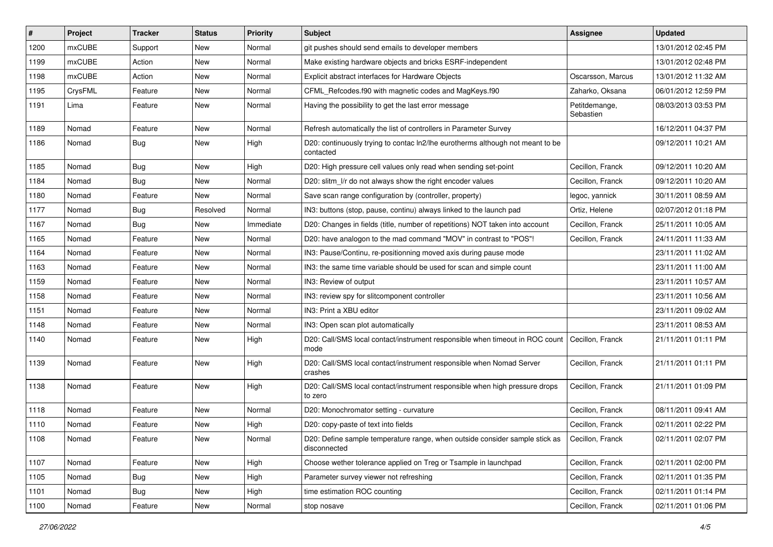| #    | Project       | <b>Tracker</b> | <b>Status</b> | <b>Priority</b> | <b>Subject</b>                                                                                          | <b>Assignee</b>            | <b>Updated</b>      |
|------|---------------|----------------|---------------|-----------------|---------------------------------------------------------------------------------------------------------|----------------------------|---------------------|
| 1200 | mxCUBE        | Support        | New           | Normal          | git pushes should send emails to developer members                                                      |                            | 13/01/2012 02:45 PM |
| 1199 | mxCUBE        | Action         | <b>New</b>    | Normal          | Make existing hardware objects and bricks ESRF-independent                                              |                            | 13/01/2012 02:48 PM |
| 1198 | <b>mxCUBE</b> | Action         | New           | Normal          | Explicit abstract interfaces for Hardware Objects                                                       | Oscarsson, Marcus          | 13/01/2012 11:32 AM |
| 1195 | CrysFML       | Feature        | New           | Normal          | CFML_Refcodes.f90 with magnetic codes and MagKeys.f90                                                   | Zaharko, Oksana            | 06/01/2012 12:59 PM |
| 1191 | Lima          | Feature        | New           | Normal          | Having the possibility to get the last error message                                                    | Petitdemange,<br>Sebastien | 08/03/2013 03:53 PM |
| 1189 | Nomad         | Feature        | New           | Normal          | Refresh automatically the list of controllers in Parameter Survey                                       |                            | 16/12/2011 04:37 PM |
| 1186 | Nomad         | Bug            | New           | High            | D20: continuously trying to contac ln2/lhe eurotherms although not meant to be<br>contacted             |                            | 09/12/2011 10:21 AM |
| 1185 | Nomad         | Bug            | New           | High            | D20: High pressure cell values only read when sending set-point                                         | Cecillon, Franck           | 09/12/2011 10:20 AM |
| 1184 | Nomad         | Bug            | New           | Normal          | D20: slitm I/r do not always show the right encoder values                                              | Cecillon, Franck           | 09/12/2011 10:20 AM |
| 1180 | Nomad         | Feature        | New           | Normal          | Save scan range configuration by (controller, property)                                                 | legoc, yannick             | 30/11/2011 08:59 AM |
| 1177 | Nomad         | Bug            | Resolved      | Normal          | IN3: buttons (stop, pause, continu) always linked to the launch pad                                     | Ortiz, Helene              | 02/07/2012 01:18 PM |
| 1167 | Nomad         | Bug            | New           | Immediate       | D20: Changes in fields (title, number of repetitions) NOT taken into account                            | Cecillon, Franck           | 25/11/2011 10:05 AM |
| 1165 | Nomad         | Feature        | New           | Normal          | D20: have analogon to the mad command "MOV" in contrast to "POS"!                                       | Cecillon, Franck           | 24/11/2011 11:33 AM |
| 1164 | Nomad         | Feature        | New           | Normal          | IN3: Pause/Continu, re-positionning moved axis during pause mode                                        |                            | 23/11/2011 11:02 AM |
| 1163 | Nomad         | Feature        | New           | Normal          | IN3: the same time variable should be used for scan and simple count                                    |                            | 23/11/2011 11:00 AM |
| 1159 | Nomad         | Feature        | New           | Normal          | IN3: Review of output                                                                                   |                            | 23/11/2011 10:57 AM |
| 1158 | Nomad         | Feature        | New           | Normal          | IN3: review spy for slitcomponent controller                                                            |                            | 23/11/2011 10:56 AM |
| 1151 | Nomad         | Feature        | New           | Normal          | IN3: Print a XBU editor                                                                                 |                            | 23/11/2011 09:02 AM |
| 1148 | Nomad         | Feature        | New           | Normal          | IN3: Open scan plot automatically                                                                       |                            | 23/11/2011 08:53 AM |
| 1140 | Nomad         | Feature        | New           | High            | D20: Call/SMS local contact/instrument responsible when timeout in ROC count   Cecillon, Franck<br>mode |                            | 21/11/2011 01:11 PM |
| 1139 | Nomad         | Feature        | New           | High            | D20: Call/SMS local contact/instrument responsible when Nomad Server<br>crashes                         | Cecillon, Franck           | 21/11/2011 01:11 PM |
| 1138 | Nomad         | Feature        | New           | High            | D20: Call/SMS local contact/instrument responsible when high pressure drops<br>to zero                  | Cecillon, Franck           | 21/11/2011 01:09 PM |
| 1118 | Nomad         | Feature        | New           | Normal          | D20: Monochromator setting - curvature                                                                  | Cecillon, Franck           | 08/11/2011 09:41 AM |
| 1110 | Nomad         | Feature        | New           | High            | D20: copy-paste of text into fields                                                                     | Cecillon, Franck           | 02/11/2011 02:22 PM |
| 1108 | Nomad         | Feature        | New           | Normal          | D20: Define sample temperature range, when outside consider sample stick as<br>disconnected             | Cecillon, Franck           | 02/11/2011 02:07 PM |
| 1107 | Nomad         | Feature        | New           | High            | Choose wether tolerance applied on Treg or Tsample in launchpad                                         | Cecillon, Franck           | 02/11/2011 02:00 PM |
| 1105 | Nomad         | <b>Bug</b>     | New           | High            | Parameter survey viewer not refreshing                                                                  | Cecillon, Franck           | 02/11/2011 01:35 PM |
| 1101 | Nomad         | Bug            | New           | High            | time estimation ROC counting                                                                            | Cecillon, Franck           | 02/11/2011 01:14 PM |
| 1100 | Nomad         | Feature        | New           | Normal          | stop nosave                                                                                             | Cecillon, Franck           | 02/11/2011 01:06 PM |